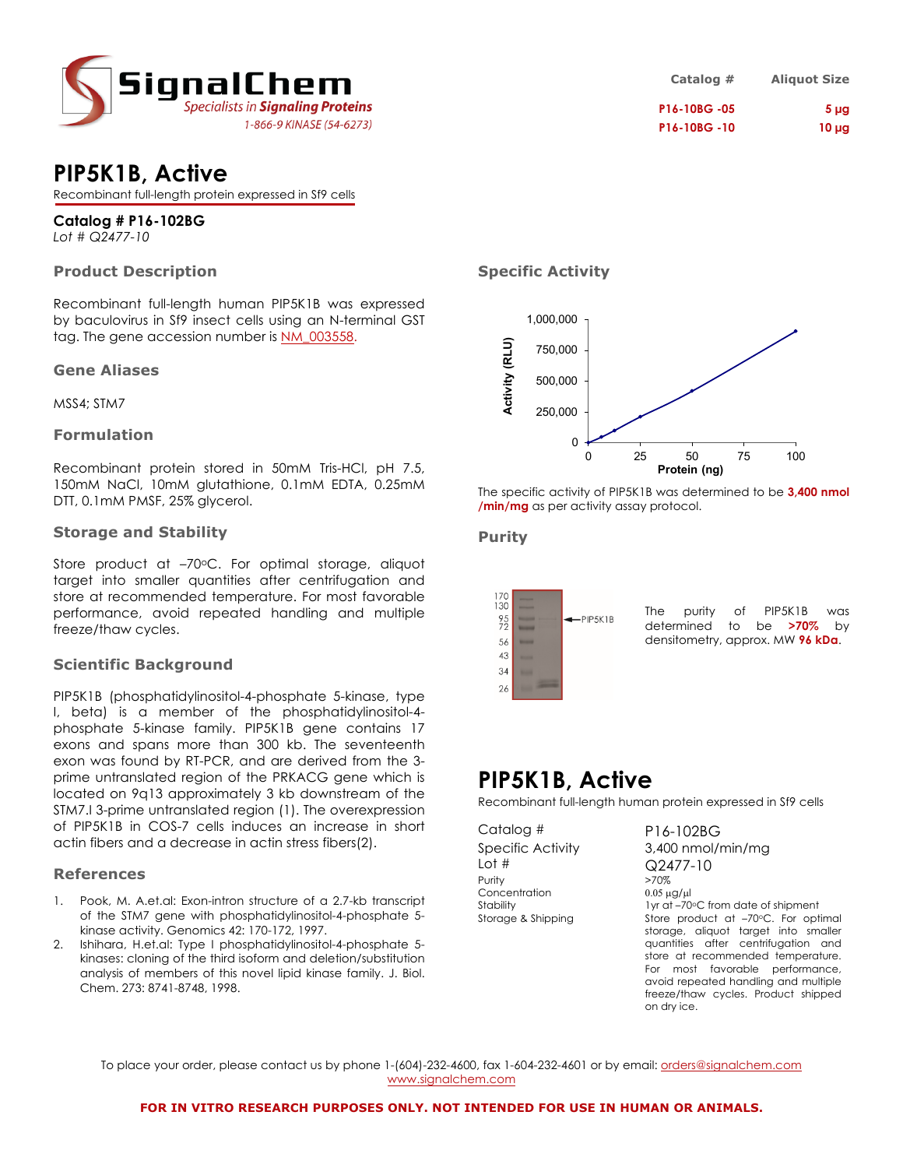

# **PIP5K1B, Active**

Recombinant full-length protein expressed in Sf9 cells

# **Catalog # P16-102BG**

*Lot # Q2477-10*

### **Product Description**

Recombinant full-length human PIP5K1B was expressed by baculovirus in Sf9 insect cells using an N-terminal GST tag. The gene accession number is NM\_003558.

#### **Gene Aliases**

MSS4; STM7

### **Formulation**

Recombinant protein stored in 50mM Tris-HCl, pH 7.5, 150mM NaCl, 10mM glutathione, 0.1mM EDTA, 0.25mM DTT, 0.1mM PMSF, 25% glycerol.

#### **Storage and Stability**

Store product at  $-70^{\circ}$ C. For optimal storage, aliquot target into smaller quantities after centrifugation and store at recommended temperature. For most favorable performance, avoid repeated handling and multiple freeze/thaw cycles.

### **Scientific Background**

PIP5K1B (phosphatidylinositol-4-phosphate 5-kinase, type I, beta) is a member of the phosphatidylinositol-4 phosphate 5-kinase family. PIP5K1B gene contains 17 exons and spans more than 300 kb. The seventeenth exon was found by RT-PCR, and are derived from the 3 prime untranslated region of the PRKACG gene which is located on 9q13 approximately 3 kb downstream of the STM7.I 3-prime untranslated region (1). The overexpression of PIP5K1B in COS-7 cells induces an increase in short actin fibers and a decrease in actin stress fibers(2).

### **References**

- 1. Pook, M. A.et.al: Exon-intron structure of a 2.7-kb transcript of the STM7 gene with phosphatidylinositol-4-phosphate 5 kinase activity. Genomics 42: 170-172, 1997.
- 2. Ishihara, H.et.al: Type I phosphatidylinositol-4-phosphate 5 kinases: cloning of the third isoform and deletion/substitution analysis of members of this novel lipid kinase family. J. Biol. Chem. 273: 8741-8748, 1998.

# **Catalog # Aliquot Size P16-10BG -05 5 µg P16-10BG -10 10 µg**

## **Specific Activity**



The specific activity of PIP5K1B was determined to be **3,400 nmol /min/mg** as per activity assay protocol.

### **Purity**



The purity of PIP5K1B was determined to be **>70%** by densitometry, approx. MW **96 kDa**.

# **PIP5K1B, Active**

Recombinant full-length human protein expressed in Sf9 cells

Catalog # P16-102BG Lot # Q2477-10 Purity  $>70\%$ Concentration  $0.05 \mu g/\mu$ 

Specific Activity 3,400 nmol/min/mg Stability 1yr at –70°C from date of shipment Storage & Shipping Store product at -70°C. For optimal storage, aliquot target into smaller quantities after centrifugation and store at recommended temperature. For most favorable performance, avoid repeated handling and multiple freeze/thaw cycles. Product shipped on dry ice.

To place your order, please contact us by phone 1-(604)-232-4600, fax 1-604-232-4601 or by email: orders@signalchem.com www.signalchem.com